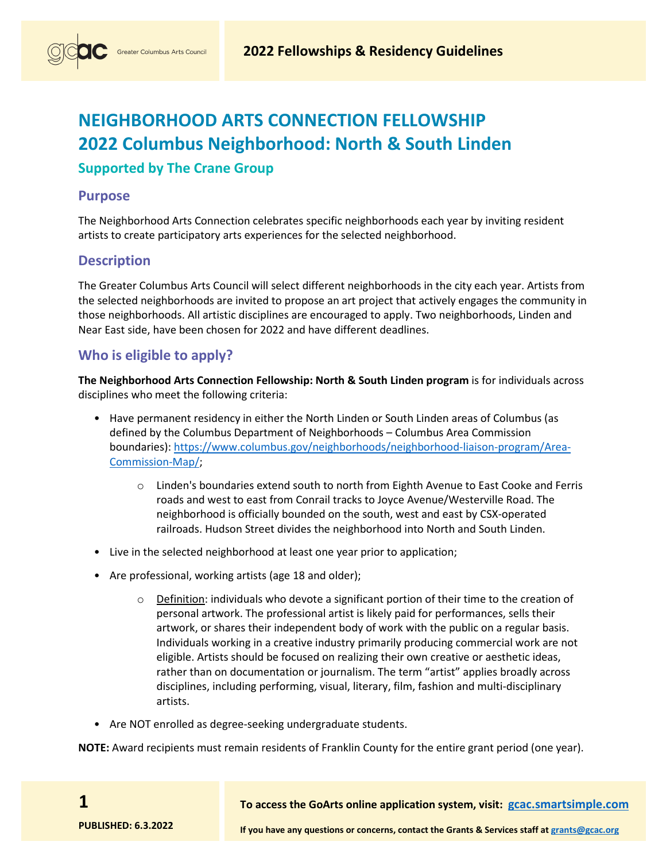

**Supported by The Crane Group** 

Greater Columbus Arts Council

### **Purpose**

The Neighborhood Arts Connection celebrates specific neighborhoods each year by inviting resident artists to create participatory arts experiences for the selected neighborhood.

### **Description**

The Greater Columbus Arts Council will select different neighborhoods in the city each year. Artists from the selected neighborhoods are invited to propose an art project that actively engages the community in those neighborhoods. All artistic disciplines are encouraged to apply. Two neighborhoods, Linden and Near East side, have been chosen for 2022 and have different deadlines.

### **Who is eligible to apply?**

**The Neighborhood Arts Connection Fellowship: North & South Linden program** is for individuals across disciplines who meet the following criteria:

- Have permanent residency in either the North Linden or South Linden areas of Columbus (as defined by the Columbus Department of Neighborhoods – Columbus Area Commission boundaries): [https://www.columbus.gov/neighborhoods/neighborhood-liaison-program/Area-](https://www.columbus.gov/neighborhoods/neighborhood-liaison-program/Area-Commission-Map/)[Commission-Map/;](https://www.columbus.gov/neighborhoods/neighborhood-liaison-program/Area-Commission-Map/)
	- $\circ$  Linden's boundaries extend south to north from Eighth Avenue to East Cooke and Ferris roads and west to east from Conrail tracks to Joyce Avenue/Westerville Road. The neighborhood is officially bounded on the south, west and east by [CSX-](https://en.wikipedia.org/wiki/CSX)operated railroads. Hudson Street divides the neighborhood into North and South Linden.
- Live in the selected neighborhood at least one year prior to application;
- Are professional, working artists (age 18 and older);
	- $\circ$  Definition: individuals who devote a significant portion of their time to the creation of personal artwork. The professional artist is likely paid for performances, sells their artwork, or shares their independent body of work with the public on a regular basis. Individuals working in a creative industry primarily producing commercial work are not eligible. Artists should be focused on realizing their own creative or aesthetic ideas, rather than on documentation or journalism. The term "artist" applies broadly across disciplines, including performing, visual, literary, film, fashion and multi-disciplinary artists.
- Are NOT enrolled as degree-seeking undergraduate students.

**NOTE:** Award recipients must remain residents of Franklin County for the entire grant period (one year).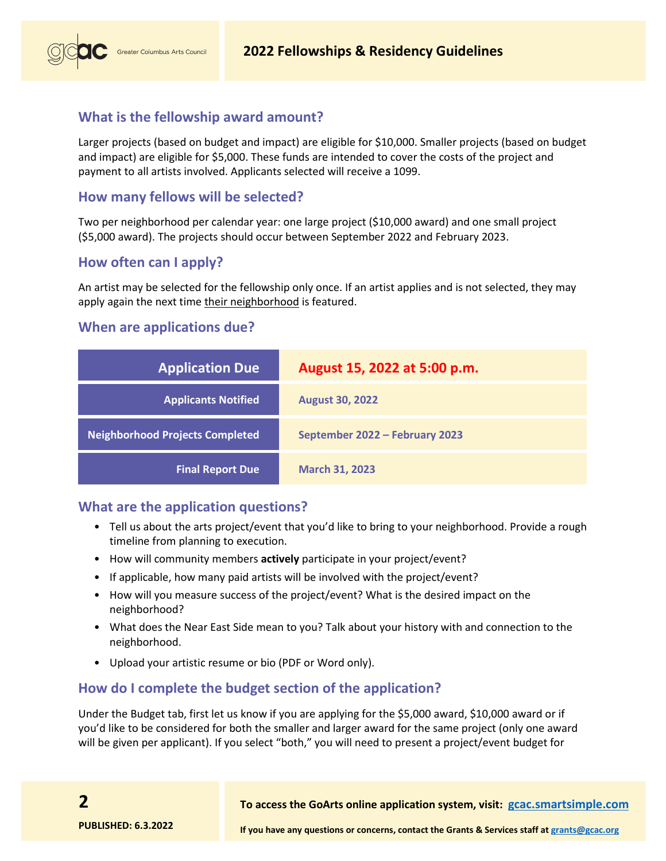

# **What is the fellowship award amount?**

Larger projects (based on budget and impact) are eligible for \$10,000. Smaller projects (based on budget and impact) are eligible for \$5,000. These funds are intended to cover the costs of the project and payment to all artists involved. Applicants selected will receive a 1099.

# **How many fellows will be selected?**

Two per neighborhood per calendar year: one large project (\$10,000 award) and one small project (\$5,000 award). The projects should occur between September 2022 and February 2023.

### **How often can I apply?**

An artist may be selected for the fellowship only once. If an artist applies and is not selected, they may apply again the next time their neighborhood is featured.

### **When are applications due?**

| <b>Application Due</b>                 | August 15, 2022 at 5:00 p.m.   |
|----------------------------------------|--------------------------------|
| <b>Applicants Notified</b>             | <b>August 30, 2022</b>         |
| <b>Neighborhood Projects Completed</b> | September 2022 - February 2023 |
| <b>Final Report Due</b>                | <b>March 31, 2023</b>          |

# **What are the application questions?**

- Tell us about the arts project/event that you'd like to bring to your neighborhood. Provide a rough timeline from planning to execution.
- How will community members **actively** participate in your project/event?
- If applicable, how many paid artists will be involved with the project/event?
- How will you measure success of the project/event? What is the desired impact on the neighborhood?
- What does the Near East Side mean to you? Talk about your history with and connection to the neighborhood.
- Upload your artistic resume or bio (PDF or Word only).

# **How do I complete the budget section of the application?**

Under the Budget tab, first let us know if you are applying for the \$5,000 award, \$10,000 award or if you'd like to be considered for both the smaller and larger award for the same project (only one award will be given per applicant). If you select "both," you will need to present a project/event budget for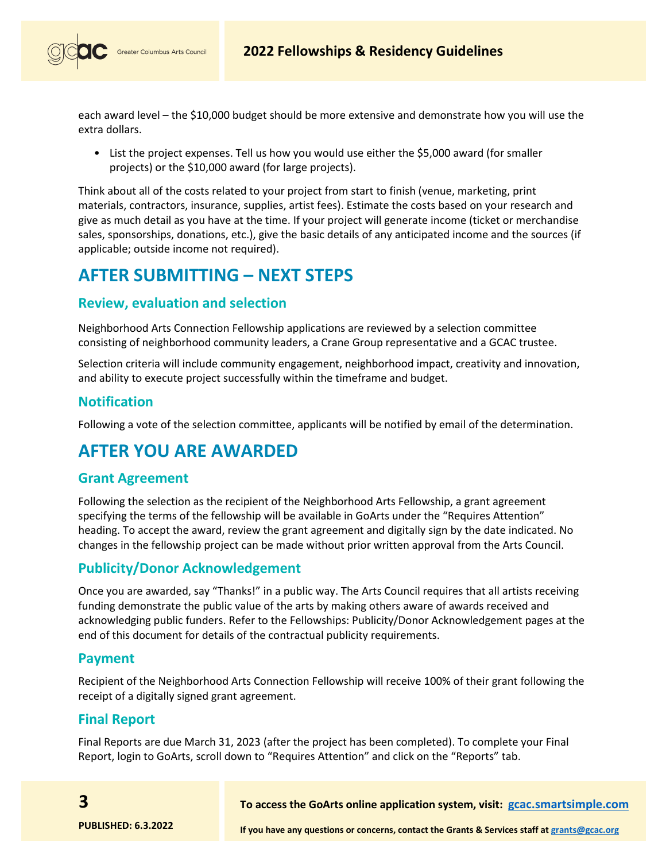

Greater Columbus Arts Council

each award level – the \$10,000 budget should be more extensive and demonstrate how you will use the extra dollars.

• List the project expenses. Tell us how you would use either the \$5,000 award (for smaller projects) or the \$10,000 award (for large projects).

Think about all of the costs related to your project from start to finish (venue, marketing, print materials, contractors, insurance, supplies, artist fees). Estimate the costs based on your research and give as much detail as you have at the time. If your project will generate income (ticket or merchandise sales, sponsorships, donations, etc.), give the basic details of any anticipated income and the sources (if applicable; outside income not required).

# **AFTER SUBMITTING – NEXT STEPS**

### **Review, evaluation and selection**

Neighborhood Arts Connection Fellowship applications are reviewed by a selection committee consisting of neighborhood community leaders, a Crane Group representative and a GCAC trustee.

Selection criteria will include community engagement, neighborhood impact, creativity and innovation, and ability to execute project successfully within the timeframe and budget.

### **Notification**

Following a vote of the selection committee, applicants will be notified by email of the determination.

# **AFTER YOU ARE AWARDED**

### **Grant Agreement**

Following the selection as the recipient of the Neighborhood Arts Fellowship, a grant agreement specifying the terms of the fellowship will be available in GoArts under the "Requires Attention" heading. To accept the award, review the grant agreement and digitally sign by the date indicated. No changes in the fellowship project can be made without prior written approval from the Arts Council.

### **Publicity/Donor Acknowledgement**

Once you are awarded, say "Thanks!" in a public way. The Arts Council requires that all artists receiving funding demonstrate the public value of the arts by making others aware of awards received and acknowledging public funders. Refer to the Fellowships: Publicity/Donor Acknowledgement pages at the end of this document for details of the contractual publicity requirements.

#### **Payment**

Recipient of the Neighborhood Arts Connection Fellowship will receive 100% of their grant following the receipt of a digitally signed grant agreement.

### **Final Report**

Final Reports are due March 31, 2023 (after the project has been completed). To complete your Final Report, login to GoArts, scroll down to "Requires Attention" and click on the "Reports" tab.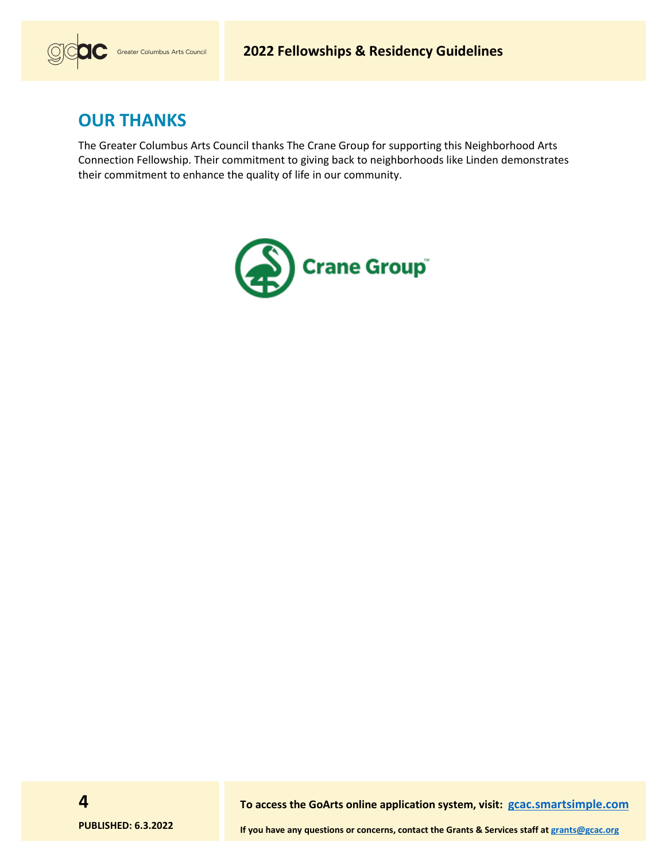

# **OUR THANKS**

The Greater Columbus Arts Council thanks The Crane Group for supporting this Neighborhood Arts Connection Fellowship. Their commitment to giving back to neighborhoods like Linden demonstrates their commitment to enhance the quality of life in our community.

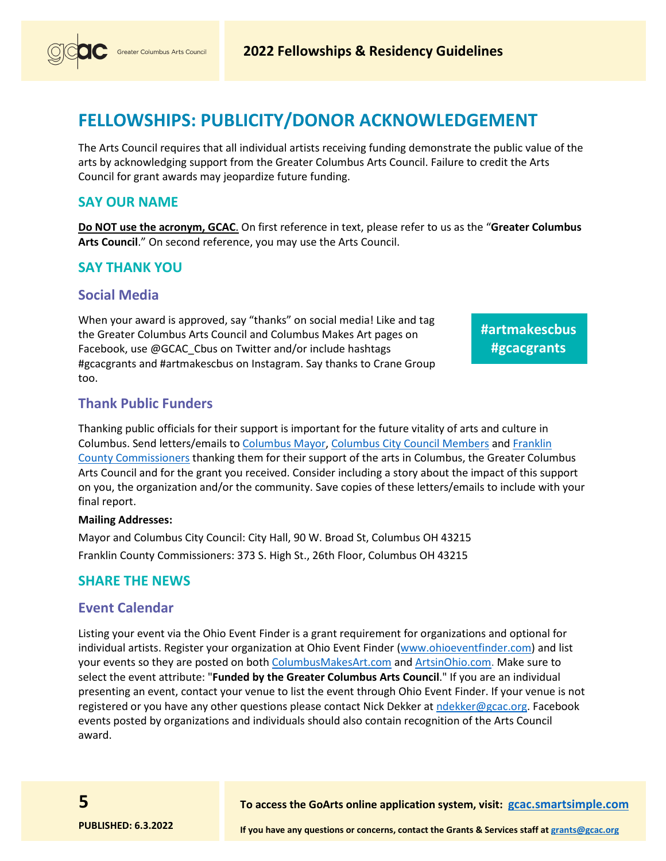

# **FELLOWSHIPS: PUBLICITY/DONOR ACKNOWLEDGEMENT**

The Arts Council requires that all individual artists receiving funding demonstrate the public value of the arts by acknowledging support from the Greater Columbus Arts Council. Failure to credit the Arts Council for grant awards may jeopardize future funding.

### **SAY OUR NAME**

**Do NOT use the acronym, GCAC**. On first reference in text, please refer to us as the "**Greater Columbus Arts Council**." On second reference, you may use the Arts Council.

### **SAY THANK YOU**

### **Social Media**

When your award is approved, say "thanks" on social media! Like and tag the Greater Columbus Arts Council and Columbus Makes Art pages on Facebook, use @GCAC\_Cbus on Twitter and/or include hashtags #gcacgrants and #artmakescbus on Instagram. Say thanks to Crane Group too.

**#artmakescbus #gcacgrants** 

### **Thank Public Funders**

Thanking public officials for their support is important for the future vitality of arts and culture in Columbus. Send letters/emails to [Columbus Mayor,](https://www.columbus.gov/mayor/Office-of-the-Mayor/) [Columbus City Council Members](https://www.columbus.gov/council/members/) and [Franklin](https://commissioners.franklincountyohio.gov/)  [County Commissioners](https://commissioners.franklincountyohio.gov/) thanking them for their support of the arts in Columbus, the Greater Columbus Arts Council and for the grant you received. Consider including a story about the impact of this support on you, the organization and/or the community. Save copies of these letters/emails to include with your final report.

#### **Mailing Addresses:**

Mayor and Columbus City Council: City Hall, 90 W. Broad St, Columbus OH 43215 Franklin County Commissioners: 373 S. High St., 26th Floor, Columbus OH 43215

#### **SHARE THE NEWS**

#### **Event Calendar**

Listing your event via the Ohio Event Finder is a grant requirement for organizations and optional for individual artists. Register your organization at Ohio Event Finder [\(www.ohioeventfinder.com\)](http://www.ohioeventfinder.com/) and list your events so they are posted on both [ColumbusMakesArt.com](http://www.columbusmakesart.com/) and [ArtsinOhio.com.](http://www.artsinohio.com/) Make sure to select the event attribute: "**Funded by the Greater Columbus Arts Council**." If you are an individual presenting an event, contact your venue to list the event through Ohio Event Finder. If your venue is not registered or you have any other questions please contact Nick Dekker at [ndekker@gcac.org.](mailto:ndekker@gcac.org) Facebook events posted by organizations and individuals should also contain recognition of the Arts Council award.